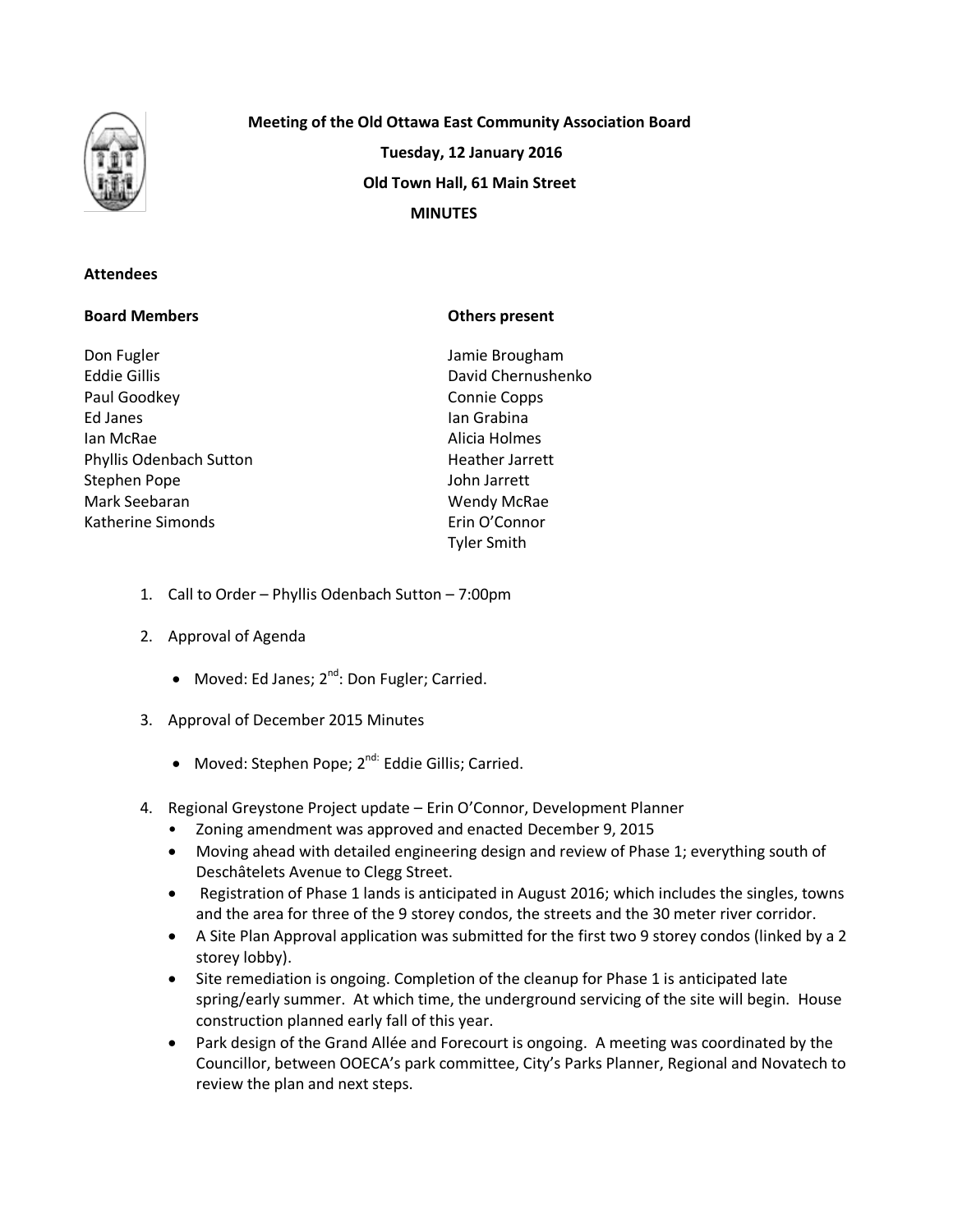

# **Meeting of the Old Ottawa East Community Association Board Tuesday, 12 January 2016 Old Town Hall, 61 Main Street MINUTES**

### **Attendees**

### **Board Members**

Don Fugler Eddie Gillis Paul Goodkey Ed Janes Ian McRae Phyllis Odenbach Sutton Stephen Pope Mark Seebaran Katherine Simonds

### **Others present**

Jamie Brougham David Chernushenko Connie Copps Ian Grabina Alicia Holmes Heather Jarrett John Jarrett Wendy McRae Erin O'Connor Tyler Smith

- 1. Call to Order Phyllis Odenbach Sutton 7:00pm
- 2. Approval of Agenda
	- Moved: Ed Janes; 2<sup>nd</sup>: Don Fugler; Carried.
- 3. Approval of December 2015 Minutes
	- Moved: Stephen Pope; 2<sup>nd:</sup> Eddie Gillis; Carried.
- 4. Regional Greystone Project update Erin O'Connor, Development Planner
	- Zoning amendment was approved and enacted December 9, 2015
	- Moving ahead with detailed engineering design and review of Phase 1; everything south of Deschâtelets Avenue to Clegg Street.
	- Registration of Phase 1 lands is anticipated in August 2016; which includes the singles, towns and the area for three of the 9 storey condos, the streets and the 30 meter river corridor.
	- A Site Plan Approval application was submitted for the first two 9 storey condos (linked by a 2 storey lobby).
	- Site remediation is ongoing. Completion of the cleanup for Phase 1 is anticipated late spring/early summer. At which time, the underground servicing of the site will begin. House construction planned early fall of this year.
	- Park design of the Grand Allée and Forecourt is ongoing. A meeting was coordinated by the Councillor, between OOECA's park committee, City's Parks Planner, Regional and Novatech to review the plan and next steps.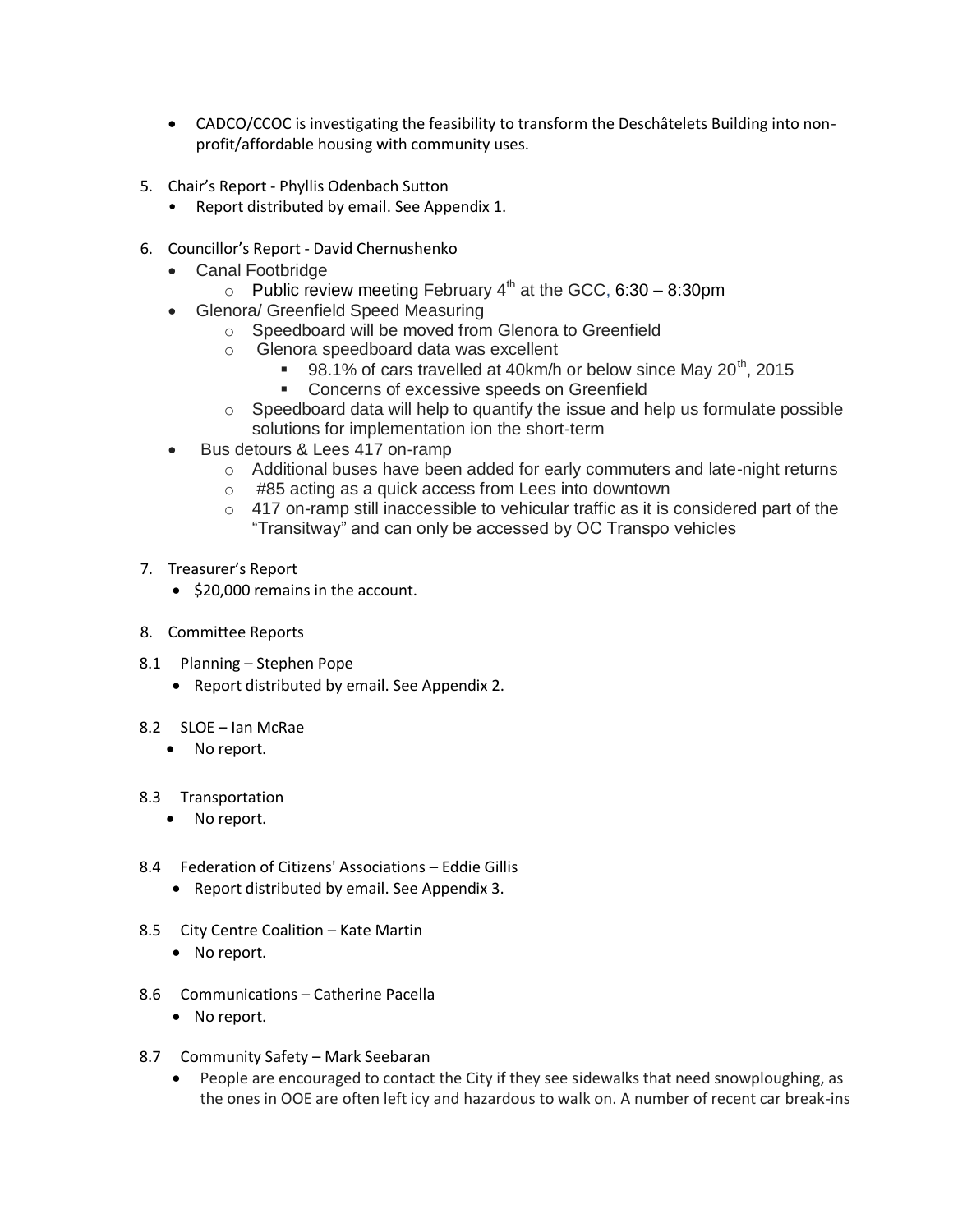- CADCO/CCOC is investigating the feasibility to transform the Deschâtelets Building into nonprofit/affordable housing with community uses.
- 5. Chair's Report Phyllis Odenbach Sutton
	- Report distributed by email. See Appendix 1.
- 6. Councillor's Report David Chernushenko
	- Canal Footbridge
		- $\circ$  Public review meeting February 4<sup>th</sup> at the GCC, 6:30 8:30pm
	- Glenora/ Greenfield Speed Measuring
		- o Speedboard will be moved from Glenora to Greenfield
		- o Glenora speedboard data was excellent
			- 98.1% of cars travelled at 40km/h or below since May  $20<sup>th</sup>$ , 2015
			- **Concerns of excessive speeds on Greenfield**
		- $\circ$  Speedboard data will help to quantify the issue and help us formulate possible solutions for implementation ion the short-term
	- Bus detours & Lees 417 on-ramp
		- o Additional buses have been added for early commuters and late-night returns
		- o #85 acting as a quick access from Lees into downtown
		- $\circ$  417 on-ramp still inaccessible to vehicular traffic as it is considered part of the "Transitway" and can only be accessed by OC Transpo vehicles
- 7. Treasurer's Report
	- \$20,000 remains in the account.
- 8. Committee Reports
- 8.1 Planning Stephen Pope
	- Report distributed by email. See Appendix 2.
- 8.2 SLOE Ian McRae
	- No report.

#### 8.3 Transportation

- No report.
- 8.4 Federation of Citizens' Associations Eddie Gillis
	- Report distributed by email. See Appendix 3.
- 8.5 City Centre Coalition Kate Martin
	- No report.
- 8.6 Communications Catherine Pacella
	- No report.
- 8.7 Community Safety Mark Seebaran
	- People are encouraged to contact the City if they see sidewalks that need snowploughing, as the ones in OOE are often left icy and hazardous to walk on. A number of recent car break-ins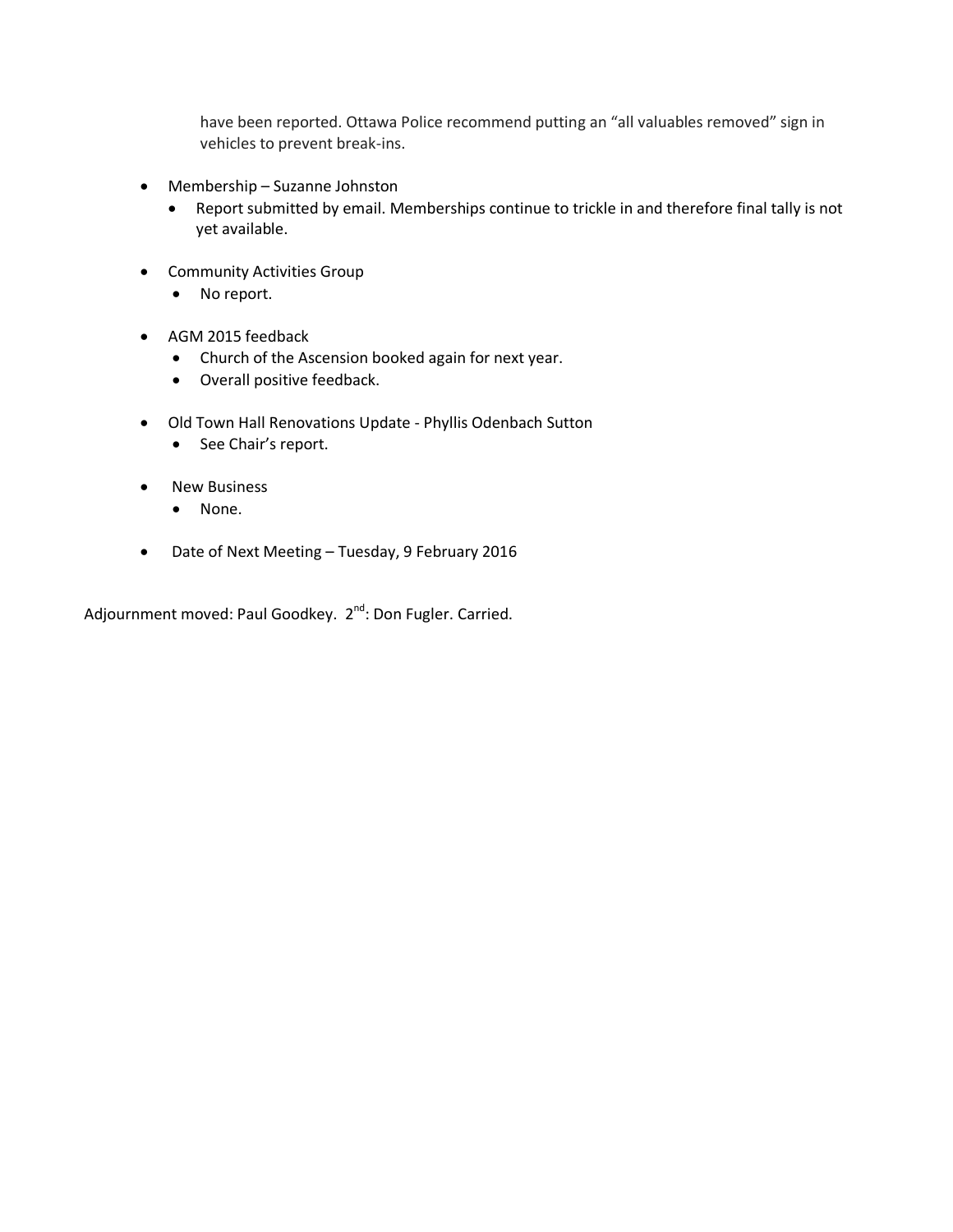have been reported. Ottawa Police recommend putting an "all valuables removed" sign in vehicles to prevent break-ins.

- Membership Suzanne Johnston
	- Report submitted by email. Memberships continue to trickle in and therefore final tally is not yet available.
- **•** Community Activities Group
	- No report.
- AGM 2015 feedback
	- Church of the Ascension booked again for next year.
	- Overall positive feedback.
- Old Town Hall Renovations Update Phyllis Odenbach Sutton
	- See Chair's report.
- New Business
	- None.
- Date of Next Meeting Tuesday, 9 February 2016

Adjournment moved: Paul Goodkey. 2<sup>nd</sup>: Don Fugler. Carried.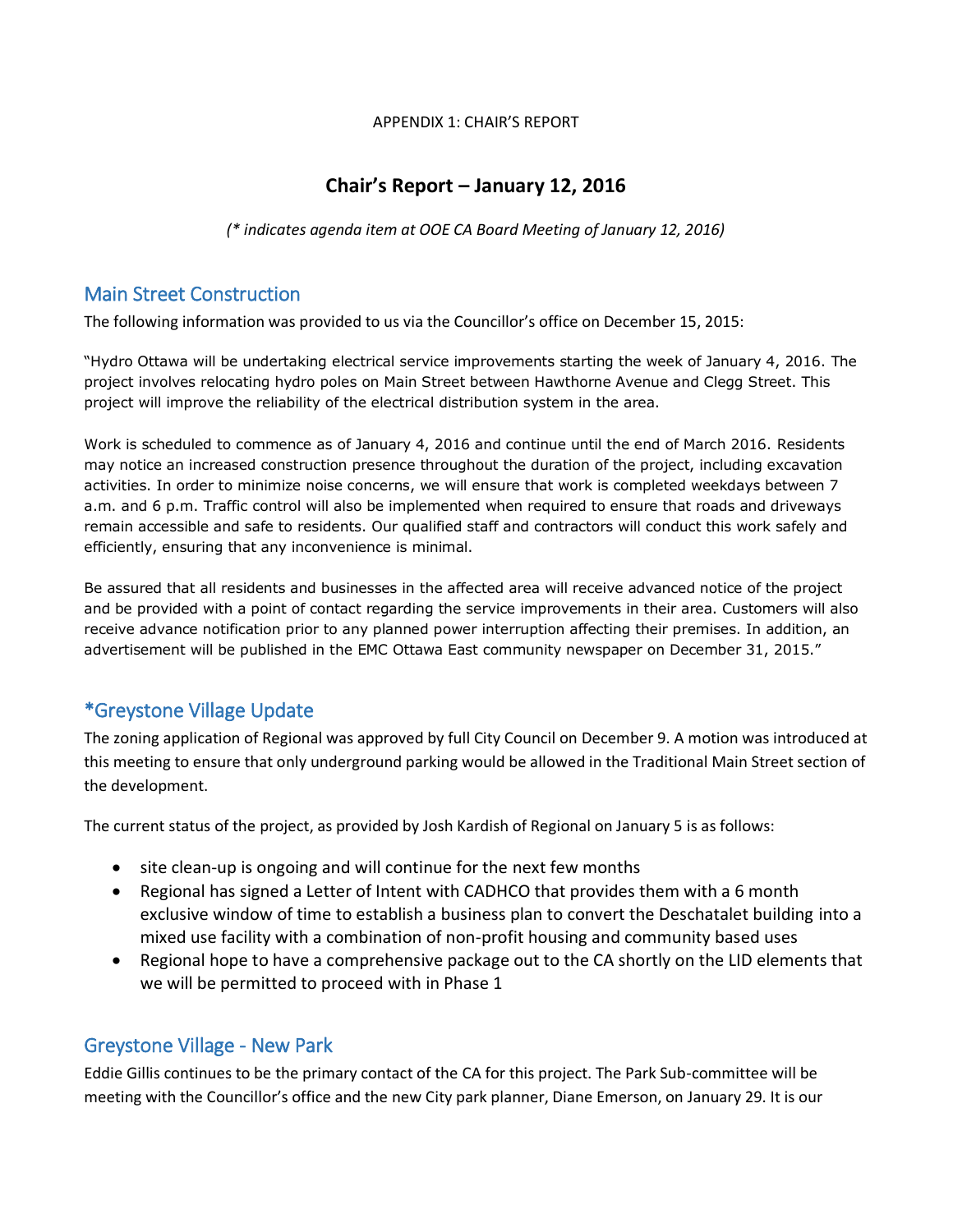APPENDIX 1: CHAIR'S REPORT

## **Chair's Report – January 12, 2016**

*(\* indicates agenda item at OOE CA Board Meeting of January 12, 2016)*

## Main Street Construction

The following information was provided to us via the Councillor's office on December 15, 2015:

"Hydro Ottawa will be undertaking electrical service improvements starting the week of January 4, 2016. The project involves relocating hydro poles on Main Street between Hawthorne Avenue and Clegg Street. This project will improve the reliability of the electrical distribution system in the area.

Work is scheduled to commence as of January 4, 2016 and continue until the end of March 2016. Residents may notice an increased construction presence throughout the duration of the project, including excavation activities. In order to minimize noise concerns, we will ensure that work is completed weekdays between 7 a.m. and 6 p.m. Traffic control will also be implemented when required to ensure that roads and driveways remain accessible and safe to residents. Our qualified staff and contractors will conduct this work safely and efficiently, ensuring that any inconvenience is minimal.

Be assured that all residents and businesses in the affected area will receive advanced notice of the project and be provided with a point of contact regarding the service improvements in their area. Customers will also receive advance notification prior to any planned power interruption affecting their premises. In addition, an advertisement will be published in the EMC Ottawa East community newspaper on December 31, 2015."

## \*Greystone Village Update

The zoning application of Regional was approved by full City Council on December 9. A motion was introduced at this meeting to ensure that only underground parking would be allowed in the Traditional Main Street section of the development.

The current status of the project, as provided by Josh Kardish of Regional on January 5 is as follows:

- site clean-up is ongoing and will continue for the next few months
- Regional has signed a Letter of Intent with CADHCO that provides them with a 6 month exclusive window of time to establish a business plan to convert the Deschatalet building into a mixed use facility with a combination of non-profit housing and community based uses
- Regional hope to have a comprehensive package out to the CA shortly on the LID elements that we will be permitted to proceed with in Phase 1

### Greystone Village - New Park

Eddie Gillis continues to be the primary contact of the CA for this project. The Park Sub-committee will be meeting with the Councillor's office and the new City park planner, Diane Emerson, on January 29. It is our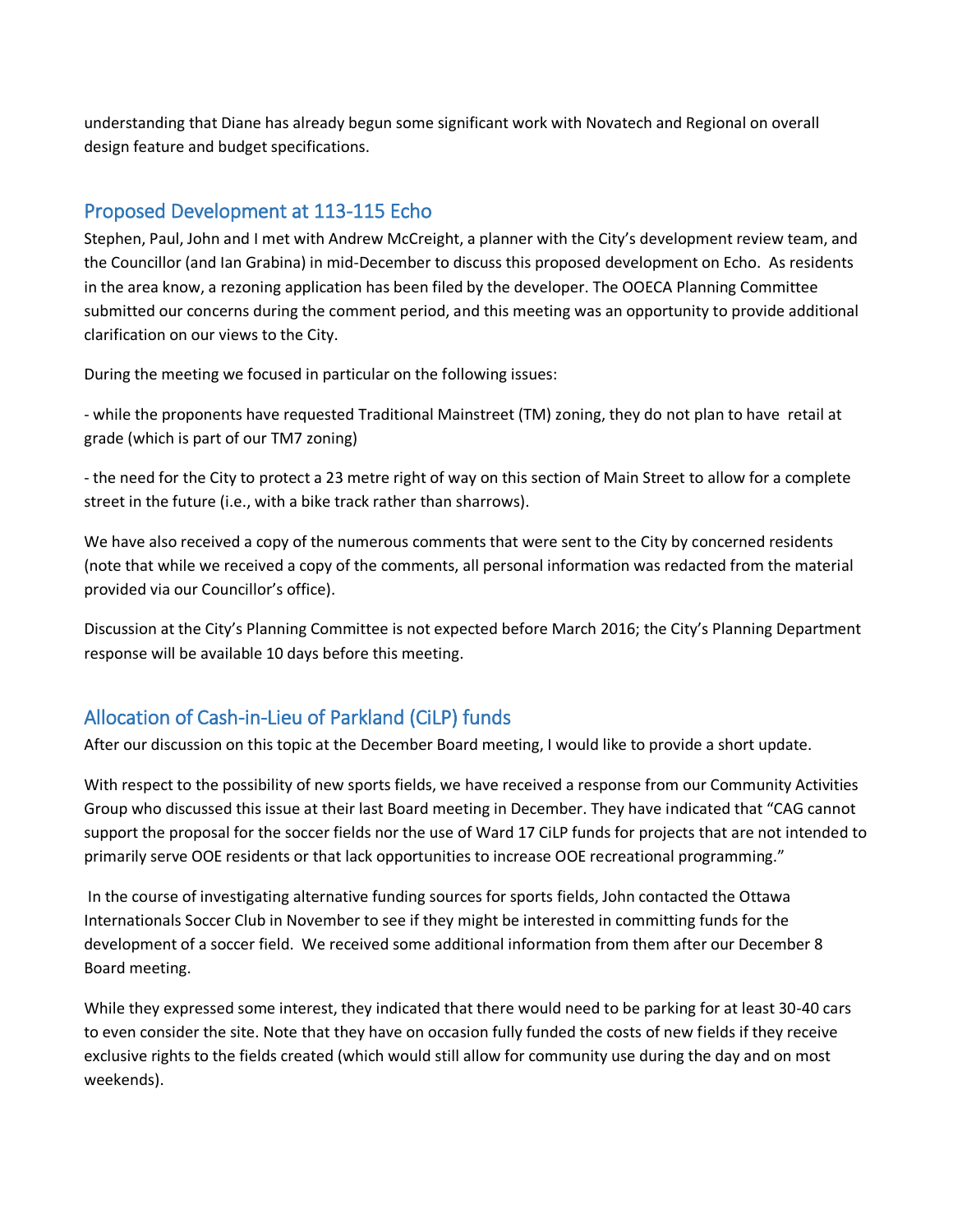understanding that Diane has already begun some significant work with Novatech and Regional on overall design feature and budget specifications.

## Proposed Development at 113-115 Echo

Stephen, Paul, John and I met with Andrew McCreight, a planner with the City's development review team, and the Councillor (and Ian Grabina) in mid-December to discuss this proposed development on Echo. As residents in the area know, a rezoning application has been filed by the developer. The OOECA Planning Committee submitted our concerns during the comment period, and this meeting was an opportunity to provide additional clarification on our views to the City.

During the meeting we focused in particular on the following issues:

- while the proponents have requested Traditional Mainstreet (TM) zoning, they do not plan to have retail at grade (which is part of our TM7 zoning)

- the need for the City to protect a 23 metre right of way on this section of Main Street to allow for a complete street in the future (i.e., with a bike track rather than sharrows).

We have also received a copy of the numerous comments that were sent to the City by concerned residents (note that while we received a copy of the comments, all personal information was redacted from the material provided via our Councillor's office).

Discussion at the City's Planning Committee is not expected before March 2016; the City's Planning Department response will be available 10 days before this meeting.

## Allocation of Cash-in-Lieu of Parkland (CiLP) funds

After our discussion on this topic at the December Board meeting, I would like to provide a short update.

With respect to the possibility of new sports fields, we have received a response from our Community Activities Group who discussed this issue at their last Board meeting in December. They have indicated that "CAG cannot support the proposal for the soccer fields nor the use of Ward 17 CiLP funds for projects that are not intended to primarily serve OOE residents or that lack opportunities to increase OOE recreational programming."

In the course of investigating alternative funding sources for sports fields, John contacted the Ottawa Internationals Soccer Club in November to see if they might be interested in committing funds for the development of a soccer field. We received some additional information from them after our December 8 Board meeting.

While they expressed some interest, they indicated that there would need to be parking for at least 30-40 cars to even consider the site. Note that they have on occasion fully funded the costs of new fields if they receive exclusive rights to the fields created (which would still allow for community use during the day and on most weekends).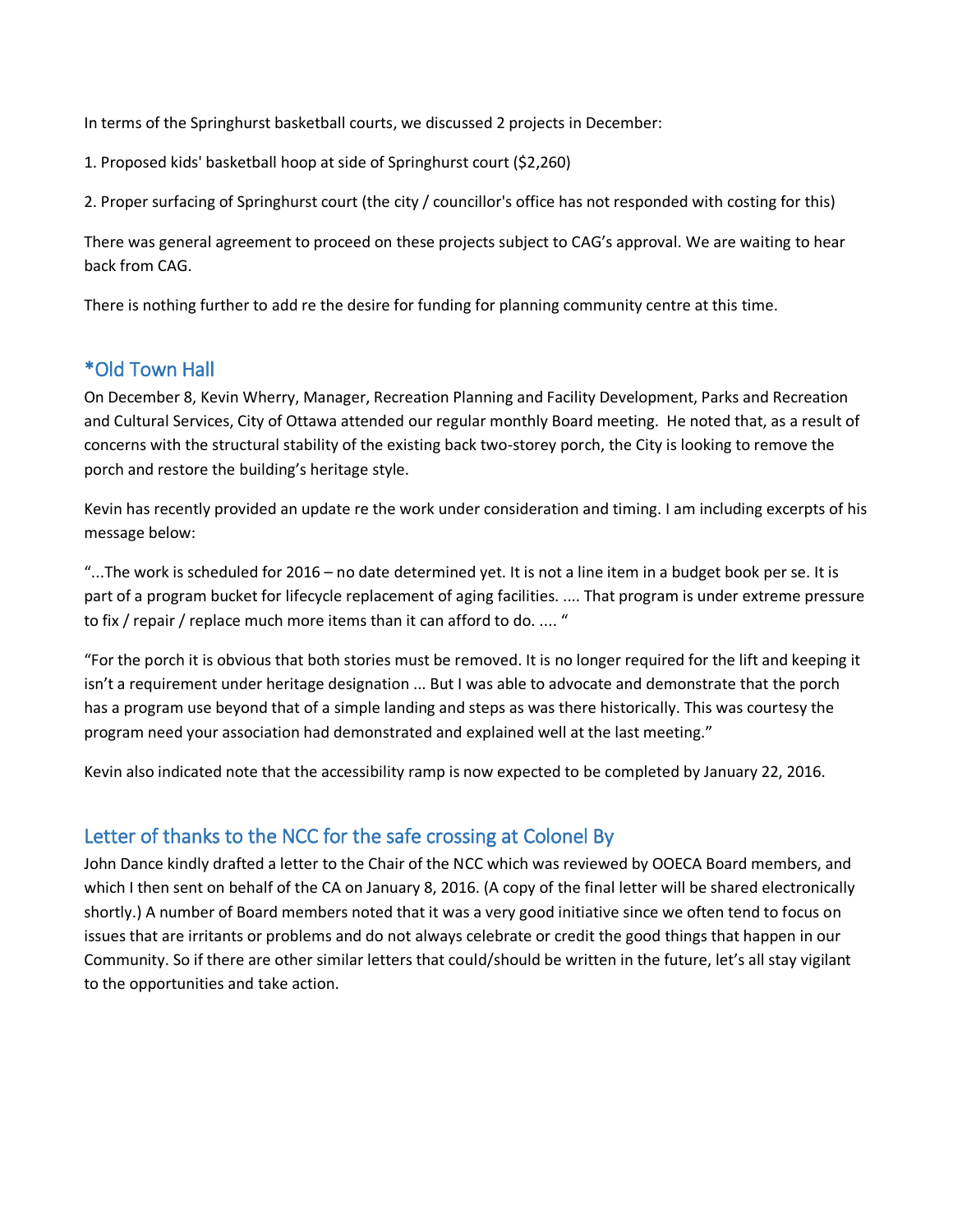In terms of the Springhurst basketball courts, we discussed 2 projects in December:

1. Proposed kids' basketball hoop at side of Springhurst court (\$2,260)

2. Proper surfacing of Springhurst court (the city / councillor's office has not responded with costing for this)

There was general agreement to proceed on these projects subject to CAG's approval. We are waiting to hear back from CAG.

There is nothing further to add re the desire for funding for planning community centre at this time.

## \*Old Town Hall

On December 8, Kevin Wherry, Manager, Recreation Planning and Facility Development, Parks and Recreation and Cultural Services, City of Ottawa attended our regular monthly Board meeting. He noted that, as a result of concerns with the structural stability of the existing back two-storey porch, the City is looking to remove the porch and restore the building's heritage style.

Kevin has recently provided an update re the work under consideration and timing. I am including excerpts of his message below:

"...The work is scheduled for 2016 – no date determined yet. It is not a line item in a budget book per se. It is part of a program bucket for lifecycle replacement of aging facilities. .... That program is under extreme pressure to fix / repair / replace much more items than it can afford to do. .... "

"For the porch it is obvious that both stories must be removed. It is no longer required for the lift and keeping it isn't a requirement under heritage designation ... But I was able to advocate and demonstrate that the porch has a program use beyond that of a simple landing and steps as was there historically. This was courtesy the program need your association had demonstrated and explained well at the last meeting."

Kevin also indicated note that the accessibility ramp is now expected to be completed by January 22, 2016.

### Letter of thanks to the NCC for the safe crossing at Colonel By

John Dance kindly drafted a letter to the Chair of the NCC which was reviewed by OOECA Board members, and which I then sent on behalf of the CA on January 8, 2016. (A copy of the final letter will be shared electronically shortly.) A number of Board members noted that it was a very good initiative since we often tend to focus on issues that are irritants or problems and do not always celebrate or credit the good things that happen in our Community. So if there are other similar letters that could/should be written in the future, let's all stay vigilant to the opportunities and take action.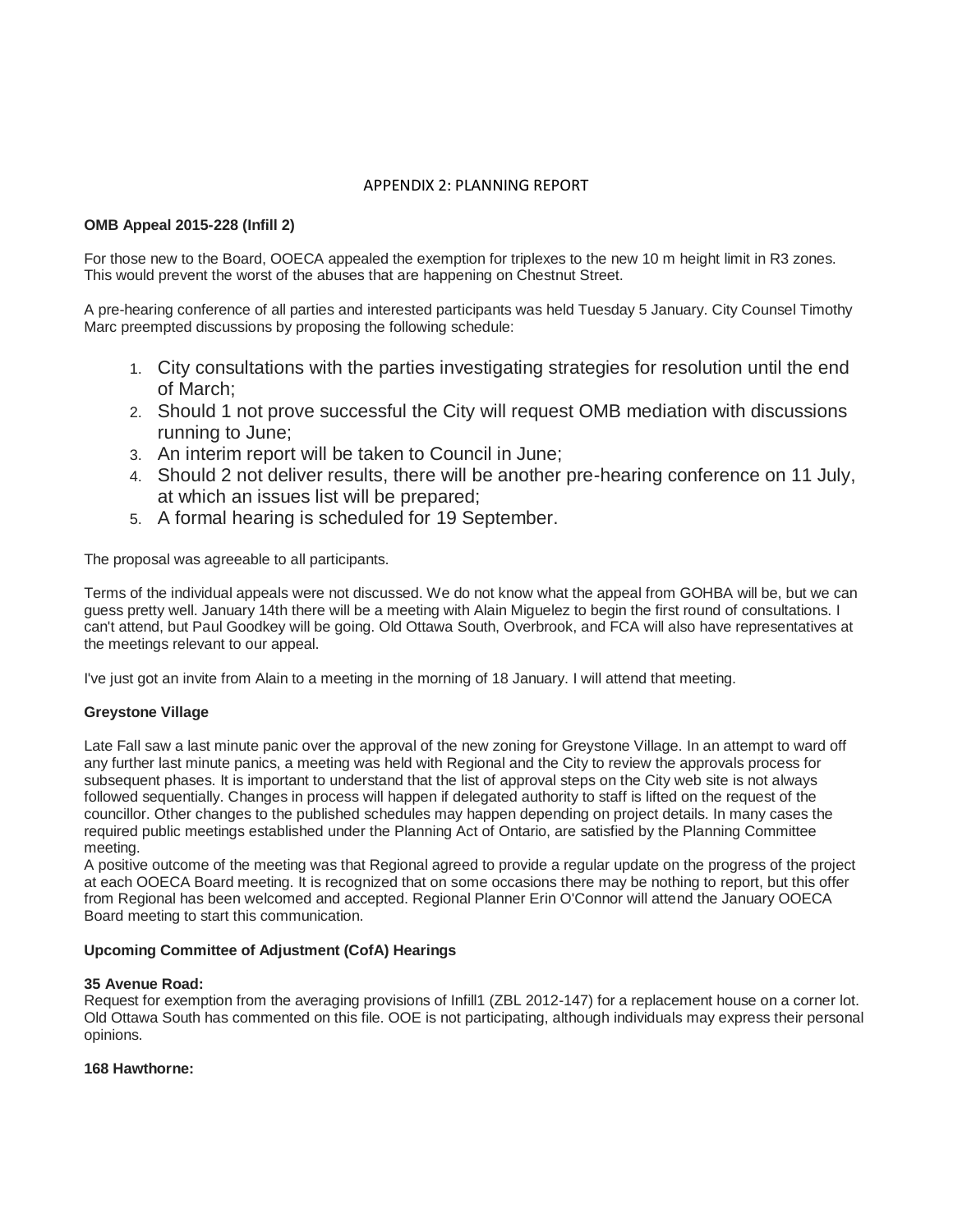#### APPENDIX 2: PLANNING REPORT

#### **OMB Appeal 2015-228 (Infill 2)**

For those new to the Board, OOECA appealed the exemption for triplexes to the new 10 m height limit in R3 zones. This would prevent the worst of the abuses that are happening on Chestnut Street.

A pre-hearing conference of all parties and interested participants was held Tuesday 5 January. City Counsel Timothy Marc preempted discussions by proposing the following schedule:

- 1. City consultations with the parties investigating strategies for resolution until the end of March;
- 2. Should 1 not prove successful the City will request OMB mediation with discussions running to June;
- 3. An interim report will be taken to Council in June;
- 4. Should 2 not deliver results, there will be another pre-hearing conference on 11 July, at which an issues list will be prepared;
- 5. A formal hearing is scheduled for 19 September.

The proposal was agreeable to all participants.

Terms of the individual appeals were not discussed. We do not know what the appeal from GOHBA will be, but we can guess pretty well. January 14th there will be a meeting with Alain Miguelez to begin the first round of consultations. I can't attend, but Paul Goodkey will be going. Old Ottawa South, Overbrook, and FCA will also have representatives at the meetings relevant to our appeal.

I've just got an invite from Alain to a meeting in the morning of 18 January. I will attend that meeting.

#### **Greystone Village**

Late Fall saw a last minute panic over the approval of the new zoning for Greystone Village. In an attempt to ward off any further last minute panics, a meeting was held with Regional and the City to review the approvals process for subsequent phases. It is important to understand that the list of approval steps on the City web site is not always followed sequentially. Changes in process will happen if delegated authority to staff is lifted on the request of the councillor. Other changes to the published schedules may happen depending on project details. In many cases the required public meetings established under the Planning Act of Ontario, are satisfied by the Planning Committee meeting.

A positive outcome of the meeting was that Regional agreed to provide a regular update on the progress of the project at each OOECA Board meeting. It is recognized that on some occasions there may be nothing to report, but this offer from Regional has been welcomed and accepted. Regional Planner Erin O'Connor will attend the January OOECA Board meeting to start this communication.

#### **Upcoming Committee of Adjustment (CofA) Hearings**

#### **35 Avenue Road:**

Request for exemption from the averaging provisions of Infill1 (ZBL 2012-147) for a replacement house on a corner lot. Old Ottawa South has commented on this file. OOE is not participating, although individuals may express their personal opinions.

#### **168 Hawthorne:**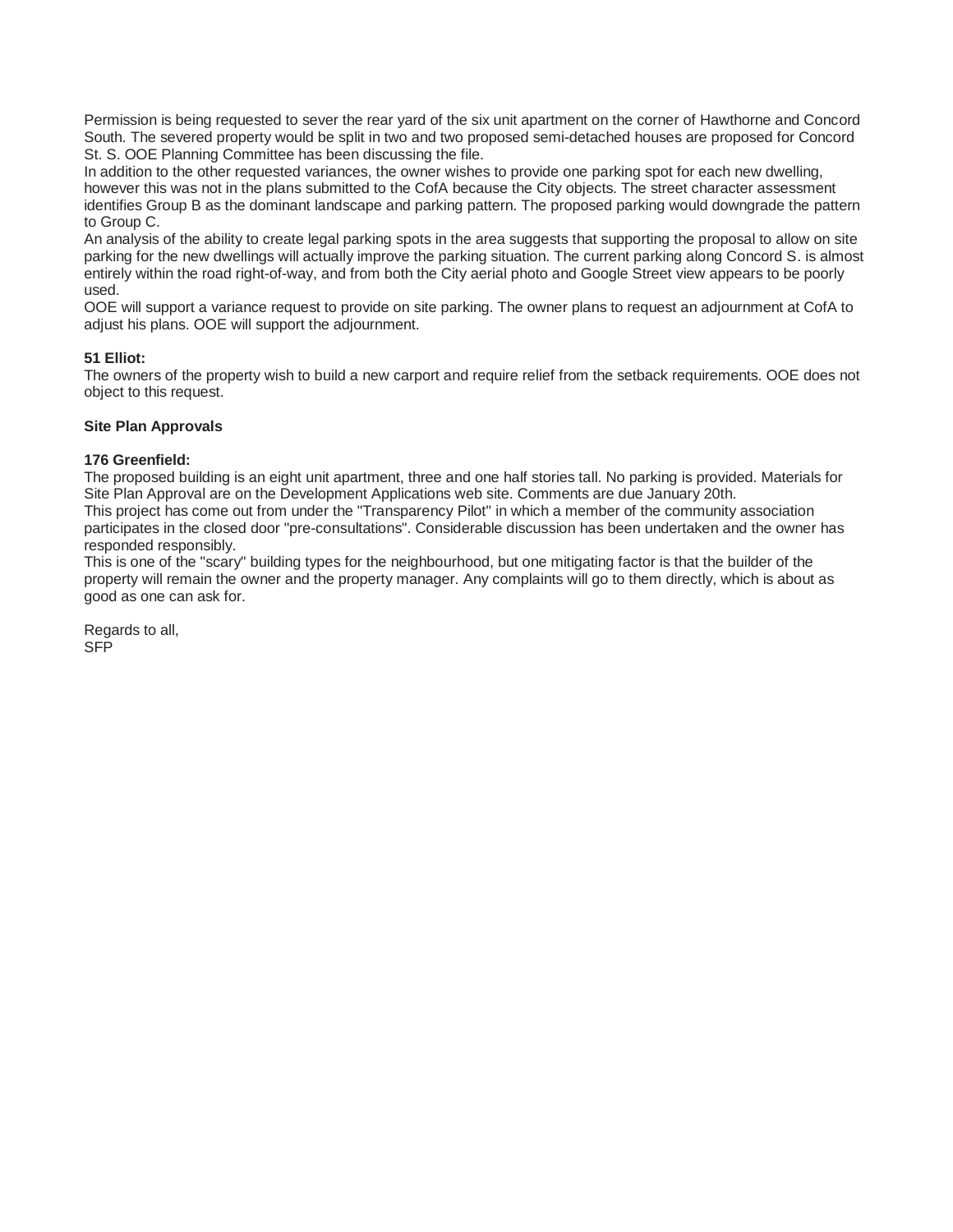Permission is being requested to sever the rear yard of the six unit apartment on the corner of Hawthorne and Concord South. The severed property would be split in two and two proposed semi-detached houses are proposed for Concord St. S. OOE Planning Committee has been discussing the file.

In addition to the other requested variances, the owner wishes to provide one parking spot for each new dwelling, however this was not in the plans submitted to the CofA because the City objects. The street character assessment identifies Group B as the dominant landscape and parking pattern. The proposed parking would downgrade the pattern to Group C.

An analysis of the ability to create legal parking spots in the area suggests that supporting the proposal to allow on site parking for the new dwellings will actually improve the parking situation. The current parking along Concord S. is almost entirely within the road right-of-way, and from both the City aerial photo and Google Street view appears to be poorly used.

OOE will support a variance request to provide on site parking. The owner plans to request an adjournment at CofA to adjust his plans. OOE will support the adjournment.

#### **51 Elliot:**

The owners of the property wish to build a new carport and require relief from the setback requirements. OOE does not object to this request.

#### **Site Plan Approvals**

#### **176 Greenfield:**

The proposed building is an eight unit apartment, three and one half stories tall. No parking is provided. Materials for Site Plan Approval are on the Development Applications web site. Comments are due January 20th.

This project has come out from under the "Transparency Pilot" in which a member of the community association participates in the closed door "pre-consultations". Considerable discussion has been undertaken and the owner has responded responsibly.

This is one of the "scary" building types for the neighbourhood, but one mitigating factor is that the builder of the property will remain the owner and the property manager. Any complaints will go to them directly, which is about as good as one can ask for.

Regards to all, SFP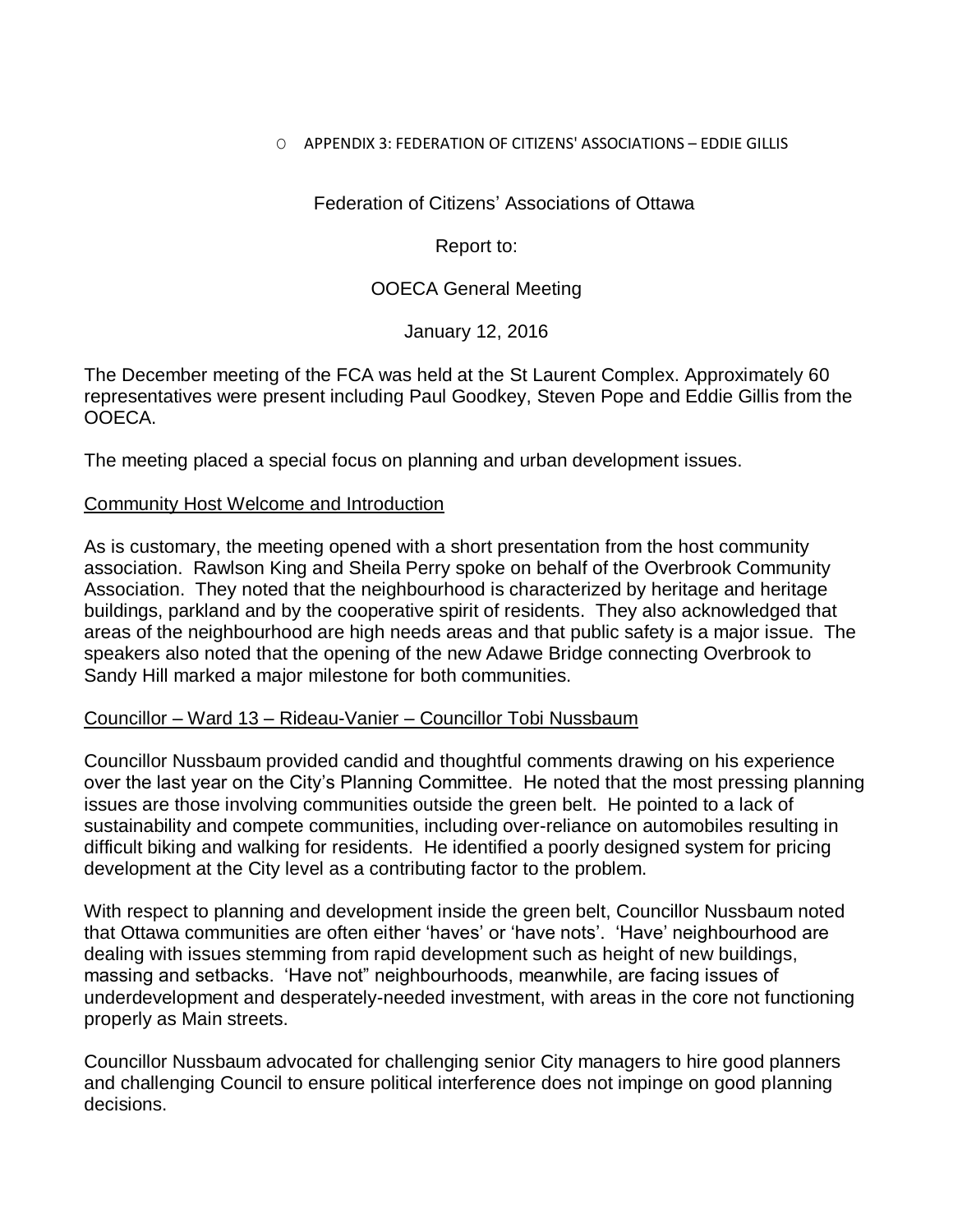### O APPENDIX 3: FEDERATION OF CITIZENS' ASSOCIATIONS – EDDIE GILLIS

Federation of Citizens' Associations of Ottawa

Report to:

### OOECA General Meeting

January 12, 2016

The December meeting of the FCA was held at the St Laurent Complex. Approximately 60 representatives were present including Paul Goodkey, Steven Pope and Eddie Gillis from the OOECA.

The meeting placed a special focus on planning and urban development issues.

### Community Host Welcome and Introduction

As is customary, the meeting opened with a short presentation from the host community association. Rawlson King and Sheila Perry spoke on behalf of the Overbrook Community Association. They noted that the neighbourhood is characterized by heritage and heritage buildings, parkland and by the cooperative spirit of residents. They also acknowledged that areas of the neighbourhood are high needs areas and that public safety is a major issue. The speakers also noted that the opening of the new Adawe Bridge connecting Overbrook to Sandy Hill marked a major milestone for both communities.

### Councillor – Ward 13 – Rideau-Vanier – Councillor Tobi Nussbaum

Councillor Nussbaum provided candid and thoughtful comments drawing on his experience over the last year on the City's Planning Committee. He noted that the most pressing planning issues are those involving communities outside the green belt. He pointed to a lack of sustainability and compete communities, including over-reliance on automobiles resulting in difficult biking and walking for residents. He identified a poorly designed system for pricing development at the City level as a contributing factor to the problem.

With respect to planning and development inside the green belt, Councillor Nussbaum noted that Ottawa communities are often either 'haves' or 'have nots'. 'Have' neighbourhood are dealing with issues stemming from rapid development such as height of new buildings, massing and setbacks. 'Have not" neighbourhoods, meanwhile, are facing issues of underdevelopment and desperately-needed investment, with areas in the core not functioning properly as Main streets.

Councillor Nussbaum advocated for challenging senior City managers to hire good planners and challenging Council to ensure political interference does not impinge on good planning decisions.